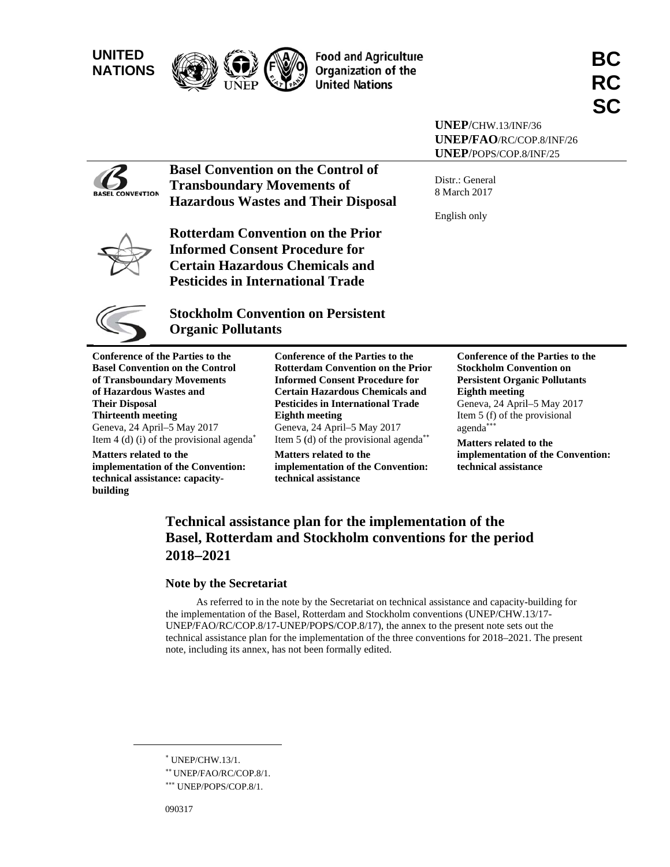



**Food and Agriculture Organization of the United Nations** 

**UNEP**/CHW.13/INF/36 UNEP/FAO/RC/COP.8/INF/26 UNEP/POPS/COP.8/INF/25



Basel Convention on the Control of **Transboundary Movements of Hazardous Wastes and Their Disposal** 

Distr.: G eneral 8 March 2017

English only



**Rotterdam Convention on the Prior** Informed Consent Procedure for **Certain Hazardous Chemicals and Pesticides in International Trade** 



# Pesticides in International Trade<br>Stockholm Convention on Persistent **Organic Pollutants**

**Conference of the Parties to the Basel Convention on the Control of Transboundary Movements of Hazardous Wastes and Their Disp posal Thirteenth meeting** Geneva, 24 April-5 May 2017 Item  $4$  (d) (i) of the provisional agenda<sup>\*</sup>

**Matters rel lated to the implementation of the Convention: technical a assistance: cap pacitybuilding**

**Confer rence of the P Parties to the Rotterdam Convention on the Prior Informed Consent Procedure for** Informed Consent Procedure for<br>Certain Hazardous Chemicals and **Pesticides in International Trade Eighth meeting**  Geneva a, 24 April–5 M May 2017 Item  $5$  (d) of the provisional agenda<sup>\*\*</sup>

**Matters related to the** implementation of the Convention: **technic cal assistance**

**Con nference of th he Parties to the Stockholm Convention on Persistent Organic Pollutants Eig ghth meeting**  Geneva, 24 April-5 May 2017 Item 5 (f) of the provisional agenda\*\*\* **Ma atters related to the**  implementation of the Convention:

**technical** assistance

# **Technical assistance plan for the implementation of the Basel, Rotterdam and Stockholm conventions for the period 2018 2021**

# Note by the Secretariat

the implementation of the Basel, Rotterdam and Stockholm conventions (UNEP/CHW.13/17-UNEP/FAO/RC/COP.8/17-UNEP/POPS/COP.8/17), the annex to the present note sets out the technical assistance plan for the implementation of the three conventions for 2018–2021. The present note, including its annex, has not been formally edited. As referred to in the note by the Secretariat on technical assistance and capacity-building for

l

l

l

l

 UNEP P/CHW.13/1.

<sup>\*\*</sup> UNEP/FAO/RC/COP.8/1.

<sup>\*\*\*</sup> UNEP/POPS/COP.8/1.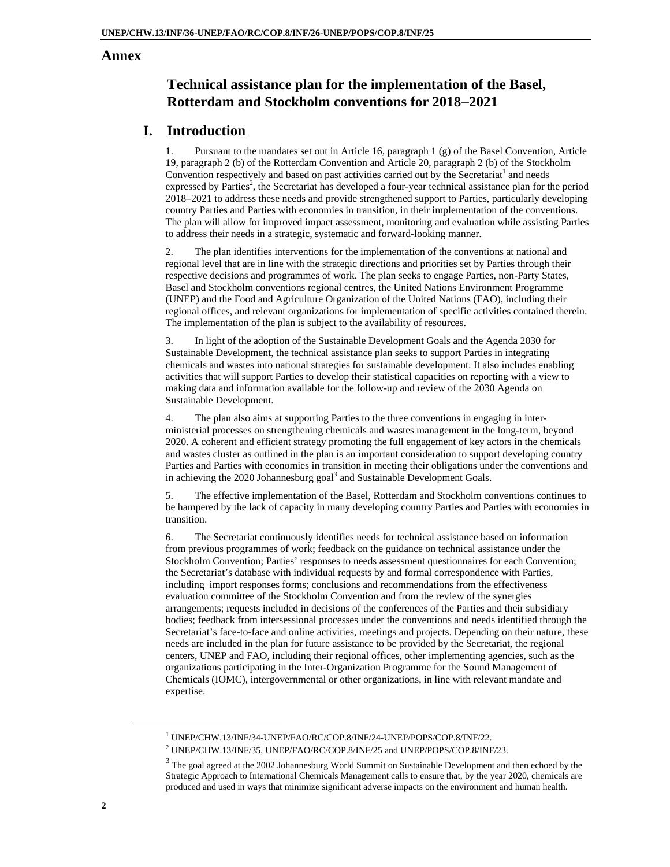## **Annex**

# **Technical assistance plan for the implementation of the Basel, Rotterdam and Stockholm conventions for 20182021**

# **I. Introduction**

1. Pursuant to the mandates set out in Article 16, paragraph 1 (g) of the Basel Convention, Article 19, paragraph 2 (b) of the Rotterdam Convention and Article 20, paragraph 2 (b) of the Stockholm Convention respectively and based on past activities carried out by the Secretariat<sup>1</sup> and needs expressed by Parties<sup>2</sup>, the Secretariat has developed a four-year technical assistance plan for the period 2018–2021 to address these needs and provide strengthened support to Parties, particularly developing country Parties and Parties with economies in transition, in their implementation of the conventions. The plan will allow for improved impact assessment, monitoring and evaluation while assisting Parties to address their needs in a strategic, systematic and forward-looking manner.

2. The plan identifies interventions for the implementation of the conventions at national and regional level that are in line with the strategic directions and priorities set by Parties through their respective decisions and programmes of work. The plan seeks to engage Parties, non-Party States, Basel and Stockholm conventions regional centres, the United Nations Environment Programme (UNEP) and the Food and Agriculture Organization of the United Nations (FAO), including their regional offices, and relevant organizations for implementation of specific activities contained therein. The implementation of the plan is subject to the availability of resources.

3. In light of the adoption of the Sustainable Development Goals and the Agenda 2030 for Sustainable Development, the technical assistance plan seeks to support Parties in integrating chemicals and wastes into national strategies for sustainable development. It also includes enabling activities that will support Parties to develop their statistical capacities on reporting with a view to making data and information available for the follow-up and review of the 2030 Agenda on Sustainable Development.

4. The plan also aims at supporting Parties to the three conventions in engaging in interministerial processes on strengthening chemicals and wastes management in the long-term, beyond 2020. A coherent and efficient strategy promoting the full engagement of key actors in the chemicals and wastes cluster as outlined in the plan is an important consideration to support developing country Parties and Parties with economies in transition in meeting their obligations under the conventions and in achieving the 2020 Johannesburg goal<sup>3</sup> and Sustainable Development Goals.

5. The effective implementation of the Basel, Rotterdam and Stockholm conventions continues to be hampered by the lack of capacity in many developing country Parties and Parties with economies in transition.

6. The Secretariat continuously identifies needs for technical assistance based on information from previous programmes of work; feedback on the guidance on technical assistance under the Stockholm Convention; Parties' responses to needs assessment questionnaires for each Convention; the Secretariat's database with individual requests by and formal correspondence with Parties, including import responses forms; conclusions and recommendations from the effectiveness evaluation committee of the Stockholm Convention and from the review of the synergies arrangements; requests included in decisions of the conferences of the Parties and their subsidiary bodies; feedback from intersessional processes under the conventions and needs identified through the Secretariat's face-to-face and online activities, meetings and projects. Depending on their nature, these needs are included in the plan for future assistance to be provided by the Secretariat, the regional centers, UNEP and FAO, including their regional offices, other implementing agencies, such as the organizations participating in the Inter-Organization Programme for the Sound Management of Chemicals (IOMC), intergovernmental or other organizations, in line with relevant mandate and expertise.

1<sup>1</sup>

<sup>&</sup>lt;sup>1</sup> UNEP/CHW.13/INF/34-UNEP/FAO/RC/COP.8/INF/24-UNEP/POPS/COP.8/INF/22.<br><sup>2</sup> UNEP/CHW.13/INF/35, UNEP/FAO/RC/COP.8/INF/25 and UNEP/POPS/COP.8/INF/23.

 $3$  The goal agreed at the 2002 Johannesburg World Summit on Sustainable Development and then echoed by the Strategic Approach to International Chemicals Management calls to ensure that, by the year 2020, chemicals are produced and used in ways that minimize significant adverse impacts on the environment and human health.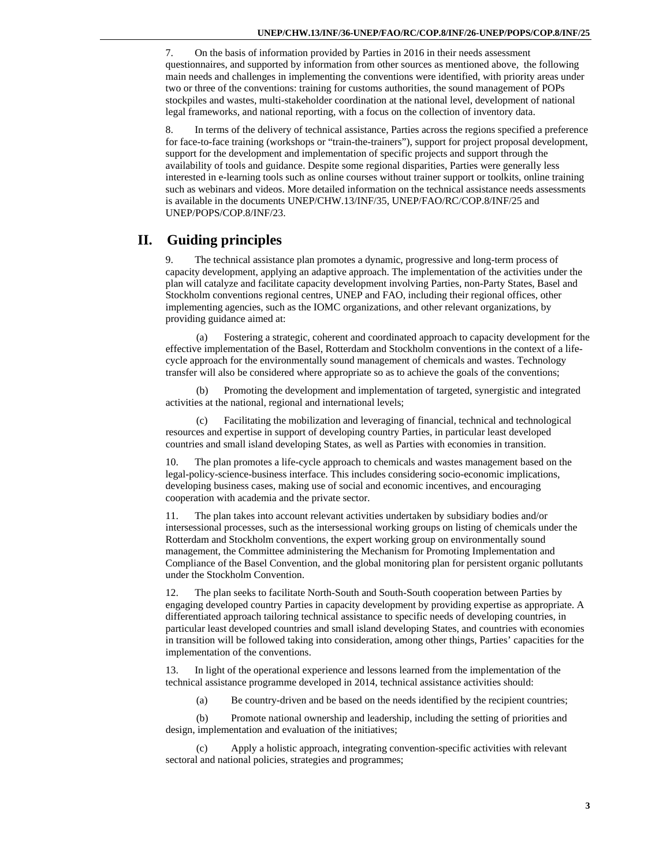7. On the basis of information provided by Parties in 2016 in their needs assessment questionnaires, and supported by information from other sources as mentioned above, the following main needs and challenges in implementing the conventions were identified, with priority areas under two or three of the conventions: training for customs authorities, the sound management of POPs stockpiles and wastes, multi-stakeholder coordination at the national level, development of national legal frameworks, and national reporting, with a focus on the collection of inventory data.

8. In terms of the delivery of technical assistance, Parties across the regions specified a preference for face-to-face training (workshops or "train-the-trainers"), support for project proposal development, support for the development and implementation of specific projects and support through the availability of tools and guidance. Despite some regional disparities, Parties were generally less interested in e-learning tools such as online courses without trainer support or toolkits, online training such as webinars and videos. More detailed information on the technical assistance needs assessments is available in the documents UNEP/CHW.13/INF/35, UNEP/FAO/RC/COP.8/INF/25 and UNEP/POPS/COP.8/INF/23.

# **II. Guiding principles**

The technical assistance plan promotes a dynamic, progressive and long-term process of capacity development, applying an adaptive approach. The implementation of the activities under the plan will catalyze and facilitate capacity development involving Parties, non-Party States, Basel and Stockholm conventions regional centres, UNEP and FAO, including their regional offices, other implementing agencies, such as the IOMC organizations, and other relevant organizations, by providing guidance aimed at:

(a) Fostering a strategic, coherent and coordinated approach to capacity development for the effective implementation of the Basel, Rotterdam and Stockholm conventions in the context of a lifecycle approach for the environmentally sound management of chemicals and wastes. Technology transfer will also be considered where appropriate so as to achieve the goals of the conventions;

Promoting the development and implementation of targeted, synergistic and integrated activities at the national, regional and international levels;

(c) Facilitating the mobilization and leveraging of financial, technical and technological resources and expertise in support of developing country Parties, in particular least developed countries and small island developing States, as well as Parties with economies in transition.

The plan promotes a life-cycle approach to chemicals and wastes management based on the legal-policy-science-business interface. This includes considering socio-economic implications, developing business cases, making use of social and economic incentives, and encouraging cooperation with academia and the private sector.

11. The plan takes into account relevant activities undertaken by subsidiary bodies and/or intersessional processes, such as the intersessional working groups on listing of chemicals under the Rotterdam and Stockholm conventions, the expert working group on environmentally sound management, the Committee administering the Mechanism for Promoting Implementation and Compliance of the Basel Convention, and the global monitoring plan for persistent organic pollutants under the Stockholm Convention.

12. The plan seeks to facilitate North-South and South-South cooperation between Parties by engaging developed country Parties in capacity development by providing expertise as appropriate. A differentiated approach tailoring technical assistance to specific needs of developing countries, in particular least developed countries and small island developing States, and countries with economies in transition will be followed taking into consideration, among other things, Parties' capacities for the implementation of the conventions.

13. In light of the operational experience and lessons learned from the implementation of the technical assistance programme developed in 2014, technical assistance activities should:

(a) Be country-driven and be based on the needs identified by the recipient countries;

(b) Promote national ownership and leadership, including the setting of priorities and design, implementation and evaluation of the initiatives;

(c) Apply a holistic approach, integrating convention-specific activities with relevant sectoral and national policies, strategies and programmes;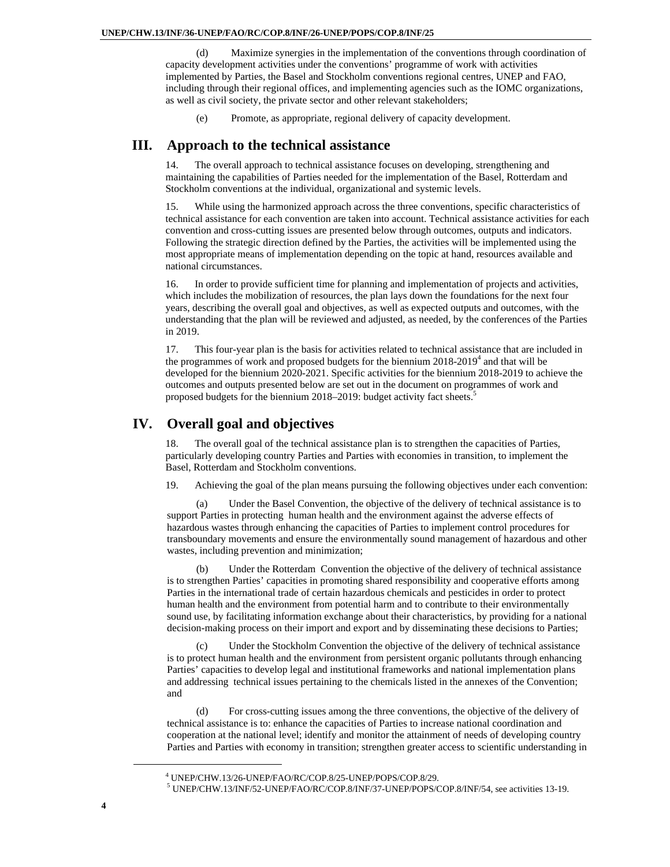(d) Maximize synergies in the implementation of the conventions through coordination of capacity development activities under the conventions' programme of work with activities implemented by Parties, the Basel and Stockholm conventions regional centres, UNEP and FAO, including through their regional offices, and implementing agencies such as the IOMC organizations, as well as civil society, the private sector and other relevant stakeholders;

(e) Promote, as appropriate, regional delivery of capacity development.

## **III. Approach to the technical assistance**

14. The overall approach to technical assistance focuses on developing, strengthening and maintaining the capabilities of Parties needed for the implementation of the Basel, Rotterdam and Stockholm conventions at the individual, organizational and systemic levels.

15. While using the harmonized approach across the three conventions, specific characteristics of technical assistance for each convention are taken into account. Technical assistance activities for each convention and cross-cutting issues are presented below through outcomes, outputs and indicators. Following the strategic direction defined by the Parties, the activities will be implemented using the most appropriate means of implementation depending on the topic at hand, resources available and national circumstances.

16. In order to provide sufficient time for planning and implementation of projects and activities, which includes the mobilization of resources, the plan lays down the foundations for the next four years, describing the overall goal and objectives, as well as expected outputs and outcomes, with the understanding that the plan will be reviewed and adjusted, as needed, by the conferences of the Parties in 2019.

17. This four-year plan is the basis for activities related to technical assistance that are included in the programmes of work and proposed budgets for the biennium  $2018-2019<sup>4</sup>$  and that will be developed for the biennium 2020-2021. Specific activities for the biennium 2018-2019 to achieve the outcomes and outputs presented below are set out in the document on programmes of work and proposed budgets for the biennium 2018–2019: budget activity fact sheets.<sup>5</sup>

# **IV. Overall goal and objectives**

18. The overall goal of the technical assistance plan is to strengthen the capacities of Parties, particularly developing country Parties and Parties with economies in transition, to implement the Basel, Rotterdam and Stockholm conventions.

19. Achieving the goal of the plan means pursuing the following objectives under each convention:

(a) Under the Basel Convention, the objective of the delivery of technical assistance is to support Parties in protecting human health and the environment against the adverse effects of hazardous wastes through enhancing the capacities of Parties to implement control procedures for transboundary movements and ensure the environmentally sound management of hazardous and other wastes, including prevention and minimization;

Under the Rotterdam Convention the objective of the delivery of technical assistance is to strengthen Parties' capacities in promoting shared responsibility and cooperative efforts among Parties in the international trade of certain hazardous chemicals and pesticides in order to protect human health and the environment from potential harm and to contribute to their environmentally sound use, by facilitating information exchange about their characteristics, by providing for a national decision-making process on their import and export and by disseminating these decisions to Parties;

Under the Stockholm Convention the objective of the delivery of technical assistance is to protect human health and the environment from persistent organic pollutants through enhancing Parties' capacities to develop legal and institutional frameworks and national implementation plans and addressing technical issues pertaining to the chemicals listed in the annexes of the Convention; and

(d) For cross-cutting issues among the three conventions, the objective of the delivery of technical assistance is to: enhance the capacities of Parties to increase national coordination and cooperation at the national level; identify and monitor the attainment of needs of developing country Parties and Parties with economy in transition; strengthen greater access to scientific understanding in

 <sup>4</sup> <sup>4</sup> UNEP/CHW.13/26-UNEP/FAO/RC/COP.8/25-UNEP/POPS/COP.8/29.

UNEP/CHW.13/INF/52-UNEP/FAO/RC/COP.8/INF/37-UNEP/POPS/COP.8/INF/54, see activities 13-19.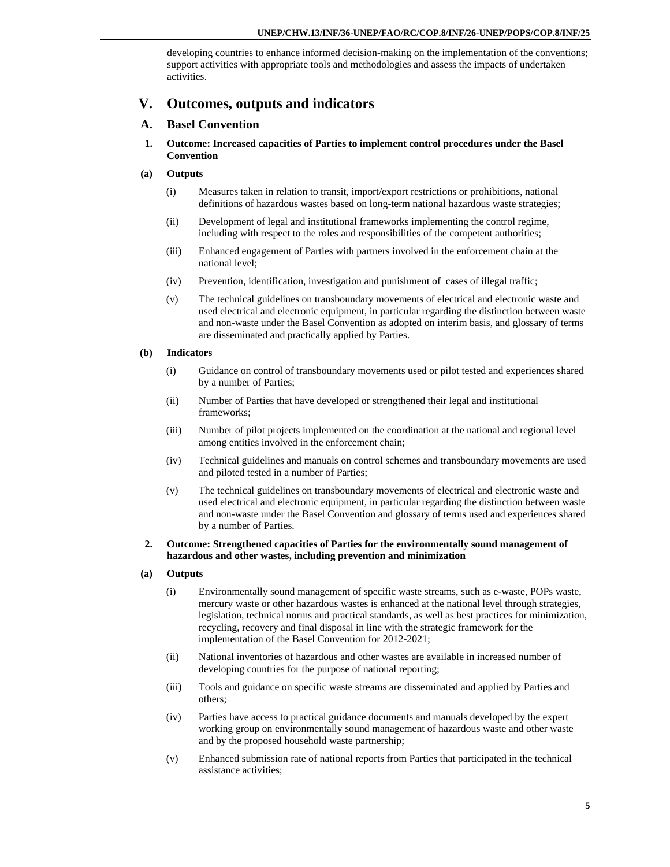developing countries to enhance informed decision-making on the implementation of the conventions; support activities with appropriate tools and methodologies and assess the impacts of undertaken activities.

# **V. Outcomes, outputs and indicators**

## **A. Basel Convention**

- **1. Outcome: Increased capacities of Parties to implement control procedures under the Basel Convention**
- **(a) Outputs** 
	- (i) Measures taken in relation to transit, import/export restrictions or prohibitions, national definitions of hazardous wastes based on long-term national hazardous waste strategies;
	- (ii) Development of legal and institutional frameworks implementing the control regime, including with respect to the roles and responsibilities of the competent authorities;
	- (iii) Enhanced engagement of Parties with partners involved in the enforcement chain at the national level;
	- (iv) Prevention, identification, investigation and punishment of cases of illegal traffic;
	- (v) The technical guidelines on transboundary movements of electrical and electronic waste and used electrical and electronic equipment, in particular regarding the distinction between waste and non-waste under the Basel Convention as adopted on interim basis, and glossary of terms are disseminated and practically applied by Parties.

## **(b) Indicators**

- (i) Guidance on control of transboundary movements used or pilot tested and experiences shared by a number of Parties;
- (ii) Number of Parties that have developed or strengthened their legal and institutional frameworks;
- (iii) Number of pilot projects implemented on the coordination at the national and regional level among entities involved in the enforcement chain;
- (iv) Technical guidelines and manuals on control schemes and transboundary movements are used and piloted tested in a number of Parties;
- (v) The technical guidelines on transboundary movements of electrical and electronic waste and used electrical and electronic equipment, in particular regarding the distinction between waste and non-waste under the Basel Convention and glossary of terms used and experiences shared by a number of Parties.

## **2. Outcome: Strengthened capacities of Parties for the environmentally sound management of hazardous and other wastes, including prevention and minimization**

## **(a) Outputs**

- (i) Environmentally sound management of specific waste streams, such as e-waste, POPs waste, mercury waste or other hazardous wastes is enhanced at the national level through strategies, legislation, technical norms and practical standards, as well as best practices for minimization, recycling, recovery and final disposal in line with the strategic framework for the implementation of the Basel Convention for 2012-2021;
- (ii) National inventories of hazardous and other wastes are available in increased number of developing countries for the purpose of national reporting;
- (iii) Tools and guidance on specific waste streams are disseminated and applied by Parties and others;
- (iv) Parties have access to practical guidance documents and manuals developed by the expert working group on environmentally sound management of hazardous waste and other waste and by the proposed household waste partnership;
- (v) Enhanced submission rate of national reports from Parties that participated in the technical assistance activities;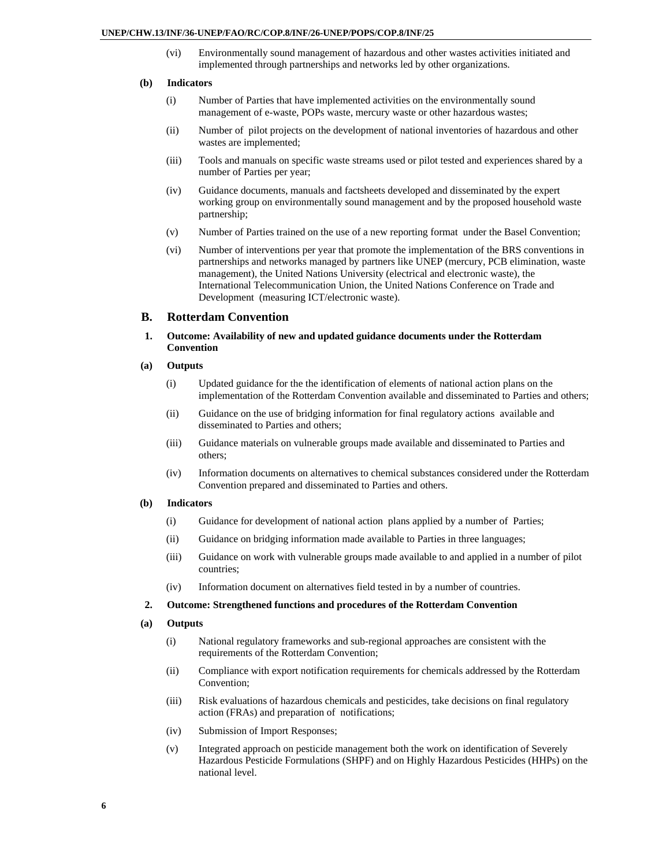(vi) Environmentally sound management of hazardous and other wastes activities initiated and implemented through partnerships and networks led by other organizations.

#### **(b) Indicators**

- (i) Number of Parties that have implemented activities on the environmentally sound management of e-waste, POPs waste, mercury waste or other hazardous wastes;
- (ii) Number of pilot projects on the development of national inventories of hazardous and other wastes are implemented;
- (iii) Tools and manuals on specific waste streams used or pilot tested and experiences shared by a number of Parties per year;
- (iv) Guidance documents, manuals and factsheets developed and disseminated by the expert working group on environmentally sound management and by the proposed household waste partnership;
- (v) Number of Parties trained on the use of a new reporting format under the Basel Convention;
- (vi) Number of interventions per year that promote the implementation of the BRS conventions in partnerships and networks managed by partners like UNEP (mercury, PCB elimination, waste management), the United Nations University (electrical and electronic waste), the International Telecommunication Union, the United Nations Conference on Trade and Development (measuring ICT/electronic waste).

#### **B. Rotterdam Convention**

 **1. Outcome: Availability of new and updated guidance documents under the Rotterdam Convention** 

#### **(a) Outputs**

- (i) Updated guidance for the the identification of elements of national action plans on the implementation of the Rotterdam Convention available and disseminated to Parties and others;
- (ii) Guidance on the use of bridging information for final regulatory actions available and disseminated to Parties and others;
- (iii) Guidance materials on vulnerable groups made available and disseminated to Parties and others;
- (iv) Information documents on alternatives to chemical substances considered under the Rotterdam Convention prepared and disseminated to Parties and others.

#### **(b) Indicators**

- (i) Guidance for development of national action plans applied by a number of Parties;
- (ii) Guidance on bridging information made available to Parties in three languages;
- (iii) Guidance on work with vulnerable groups made available to and applied in a number of pilot countries;
- (iv) Information document on alternatives field tested in by a number of countries.

## **2. Outcome: Strengthened functions and procedures of the Rotterdam Convention**

#### **(a) Outputs**

- (i) National regulatory frameworks and sub-regional approaches are consistent with the requirements of the Rotterdam Convention;
- (ii) Compliance with export notification requirements for chemicals addressed by the Rotterdam Convention;
- (iii) Risk evaluations of hazardous chemicals and pesticides, take decisions on final regulatory action (FRAs) and preparation of notifications;
- (iv) Submission of Import Responses;
- (v) Integrated approach on pesticide management both the work on identification of Severely Hazardous Pesticide Formulations (SHPF) and on Highly Hazardous Pesticides (HHPs) on the national level.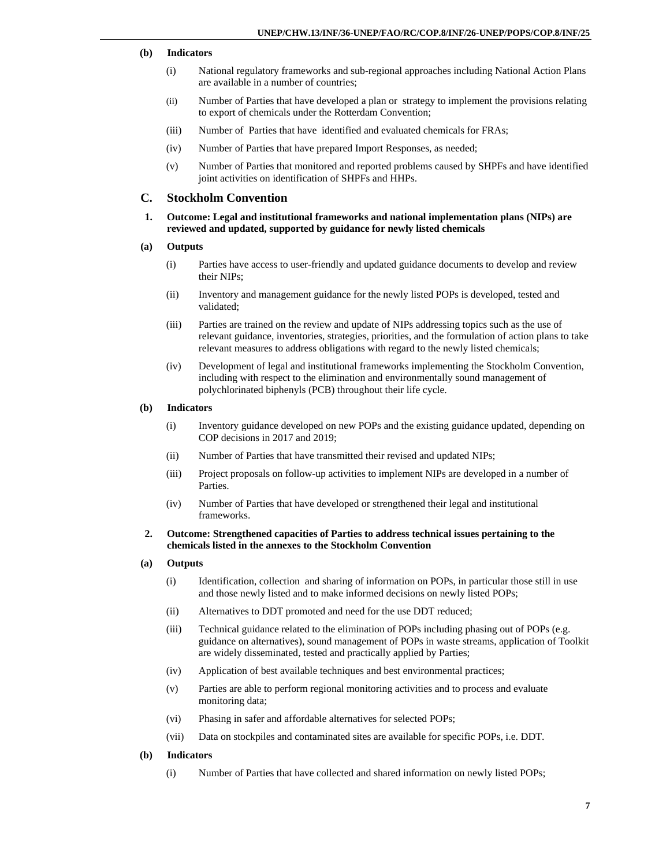### **(b) Indicators**

- (i) National regulatory frameworks and sub-regional approaches including National Action Plans are available in a number of countries;
- (ii) Number of Parties that have developed a plan or strategy to implement the provisions relating to export of chemicals under the Rotterdam Convention;
- (iii) Number of Parties that have identified and evaluated chemicals for FRAs;
- (iv) Number of Parties that have prepared Import Responses, as needed;
- (v) Number of Parties that monitored and reported problems caused by SHPFs and have identified joint activities on identification of SHPFs and HHPs.

## **C. Stockholm Convention**

- **1. Outcome: Legal and institutional frameworks and national implementation plans (NIPs) are reviewed and updated, supported by guidance for newly listed chemicals**
- **(a) Outputs** 
	- (i) Parties have access to user-friendly and updated guidance documents to develop and review their NIPs;
	- (ii) Inventory and management guidance for the newly listed POPs is developed, tested and validated;
	- (iii) Parties are trained on the review and update of NIPs addressing topics such as the use of relevant guidance, inventories, strategies, priorities, and the formulation of action plans to take relevant measures to address obligations with regard to the newly listed chemicals;
	- (iv) Development of legal and institutional frameworks implementing the Stockholm Convention, including with respect to the elimination and environmentally sound management of polychlorinated biphenyls (PCB) throughout their life cycle.

### **(b) Indicators**

- (i) Inventory guidance developed on new POPs and the existing guidance updated, depending on COP decisions in 2017 and 2019;
- (ii) Number of Parties that have transmitted their revised and updated NIPs;
- (iii) Project proposals on follow-up activities to implement NIPs are developed in a number of Parties.
- (iv) Number of Parties that have developed or strengthened their legal and institutional frameworks.

#### **2. Outcome: Strengthened capacities of Parties to address technical issues pertaining to the chemicals listed in the annexes to the Stockholm Convention**

- **(a) Outputs** 
	- (i) Identification, collection and sharing of information on POPs, in particular those still in use and those newly listed and to make informed decisions on newly listed POPs;
	- (ii) Alternatives to DDT promoted and need for the use DDT reduced;
	- (iii) Technical guidance related to the elimination of POPs including phasing out of POPs (e.g. guidance on alternatives), sound management of POPs in waste streams, application of Toolkit are widely disseminated, tested and practically applied by Parties;
	- (iv) Application of best available techniques and best environmental practices;
	- (v) Parties are able to perform regional monitoring activities and to process and evaluate monitoring data;
	- (vi) Phasing in safer and affordable alternatives for selected POPs;
	- (vii) Data on stockpiles and contaminated sites are available for specific POPs, i.e. DDT.

#### **(b) Indicators**

(i) Number of Parties that have collected and shared information on newly listed POPs;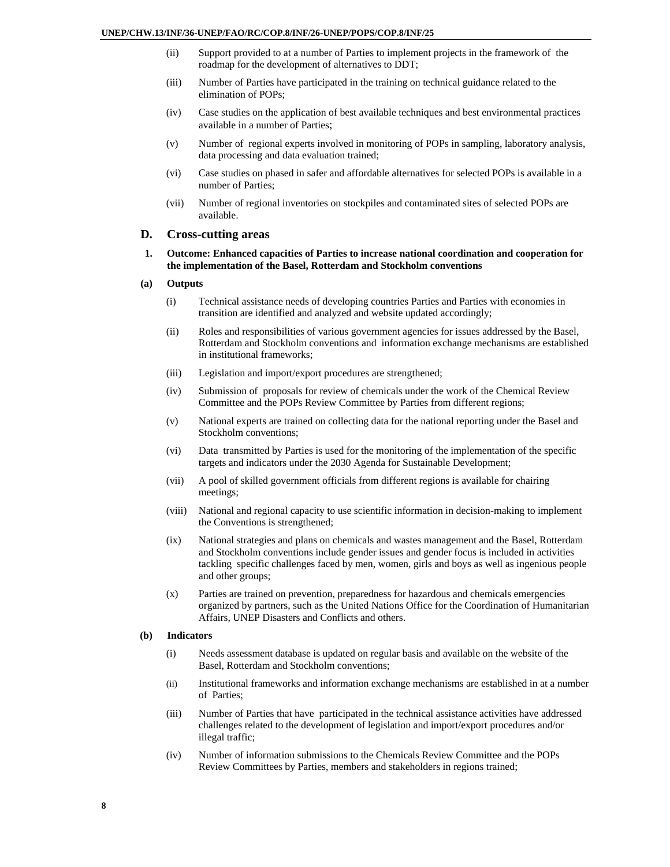- (ii) Support provided to at a number of Parties to implement projects in the framework of the roadmap for the development of alternatives to DDT;
- (iii) Number of Parties have participated in the training on technical guidance related to the elimination of POPs;
- (iv) Case studies on the application of best available techniques and best environmental practices available in a number of Parties;
- (v) Number of regional experts involved in monitoring of POPs in sampling, laboratory analysis, data processing and data evaluation trained;
- (vi) Case studies on phased in safer and affordable alternatives for selected POPs is available in a number of Parties;
- (vii) Number of regional inventories on stockpiles and contaminated sites of selected POPs are available.

## **D. Cross-cutting areas**

- **1. Outcome: Enhanced capacities of Parties to increase national coordination and cooperation for the implementation of the Basel, Rotterdam and Stockholm conventions**
- **(a) Outputs** 
	- (i) Technical assistance needs of developing countries Parties and Parties with economies in transition are identified and analyzed and website updated accordingly;
	- (ii) Roles and responsibilities of various government agencies for issues addressed by the Basel, Rotterdam and Stockholm conventions and information exchange mechanisms are established in institutional frameworks;
	- (iii) Legislation and import/export procedures are strengthened;
	- (iv) Submission of proposals for review of chemicals under the work of the Chemical Review Committee and the POPs Review Committee by Parties from different regions;
	- (v) National experts are trained on collecting data for the national reporting under the Basel and Stockholm conventions;
	- (vi) Data transmitted by Parties is used for the monitoring of the implementation of the specific targets and indicators under the 2030 Agenda for Sustainable Development;
	- (vii) A pool of skilled government officials from different regions is available for chairing meetings;
	- (viii) National and regional capacity to use scientific information in decision-making to implement the Conventions is strengthened;
	- (ix) National strategies and plans on chemicals and wastes management and the Basel, Rotterdam and Stockholm conventions include gender issues and gender focus is included in activities tackling specific challenges faced by men, women, girls and boys as well as ingenious people and other groups;
	- (x) Parties are trained on prevention, preparedness for hazardous and chemicals emergencies organized by partners, such as the United Nations Office for the Coordination of Humanitarian Affairs, UNEP Disasters and Conflicts and others.

#### **(b) Indicators**

- (i) Needs assessment database is updated on regular basis and available on the website of the Basel, Rotterdam and Stockholm conventions;
- (ii) Institutional frameworks and information exchange mechanisms are established in at a number of Parties;
- (iii) Number of Parties that have participated in the technical assistance activities have addressed challenges related to the development of legislation and import/export procedures and/or illegal traffic;
- (iv) Number of information submissions to the Chemicals Review Committee and the POPs Review Committees by Parties, members and stakeholders in regions trained;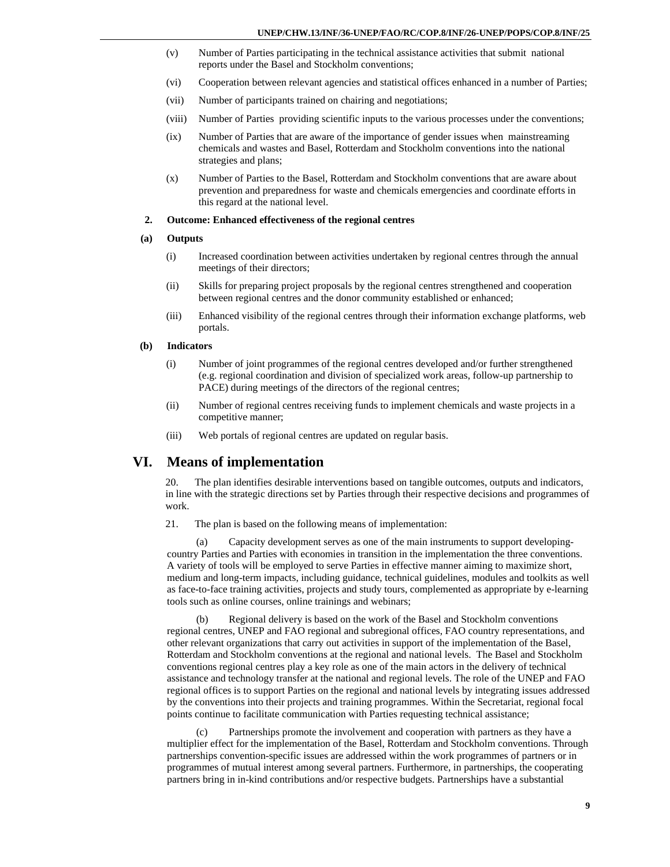- (v) Number of Parties participating in the technical assistance activities that submit national reports under the Basel and Stockholm conventions;
- (vi) Cooperation between relevant agencies and statistical offices enhanced in a number of Parties;
- (vii) Number of participants trained on chairing and negotiations;
- (viii) Number of Parties providing scientific inputs to the various processes under the conventions;
- (ix) Number of Parties that are aware of the importance of gender issues when mainstreaming chemicals and wastes and Basel, Rotterdam and Stockholm conventions into the national strategies and plans;
- (x) Number of Parties to the Basel, Rotterdam and Stockholm conventions that are aware about prevention and preparedness for waste and chemicals emergencies and coordinate efforts in this regard at the national level.

#### **2. Outcome: Enhanced effectiveness of the regional centres**

#### **(a) Outputs**

- (i) Increased coordination between activities undertaken by regional centres through the annual meetings of their directors;
- (ii) Skills for preparing project proposals by the regional centres strengthened and cooperation between regional centres and the donor community established or enhanced;
- (iii) Enhanced visibility of the regional centres through their information exchange platforms, web portals.

#### **(b) Indicators**

- (i) Number of joint programmes of the regional centres developed and/or further strengthened (e.g. regional coordination and division of specialized work areas, follow-up partnership to PACE) during meetings of the directors of the regional centres;
- (ii) Number of regional centres receiving funds to implement chemicals and waste projects in a competitive manner;
- (iii) Web portals of regional centres are updated on regular basis.

## **VI. Means of implementation**

20. The plan identifies desirable interventions based on tangible outcomes, outputs and indicators, in line with the strategic directions set by Parties through their respective decisions and programmes of work.

21. The plan is based on the following means of implementation:

(a) Capacity development serves as one of the main instruments to support developingcountry Parties and Parties with economies in transition in the implementation the three conventions. A variety of tools will be employed to serve Parties in effective manner aiming to maximize short, medium and long-term impacts, including guidance, technical guidelines, modules and toolkits as well as face-to-face training activities, projects and study tours, complemented as appropriate by e-learning tools such as online courses, online trainings and webinars;

(b) Regional delivery is based on the work of the Basel and Stockholm conventions regional centres, UNEP and FAO regional and subregional offices, FAO country representations, and other relevant organizations that carry out activities in support of the implementation of the Basel, Rotterdam and Stockholm conventions at the regional and national levels. The Basel and Stockholm conventions regional centres play a key role as one of the main actors in the delivery of technical assistance and technology transfer at the national and regional levels. The role of the UNEP and FAO regional offices is to support Parties on the regional and national levels by integrating issues addressed by the conventions into their projects and training programmes. Within the Secretariat, regional focal points continue to facilitate communication with Parties requesting technical assistance;

(c) Partnerships promote the involvement and cooperation with partners as they have a multiplier effect for the implementation of the Basel, Rotterdam and Stockholm conventions. Through partnerships convention-specific issues are addressed within the work programmes of partners or in programmes of mutual interest among several partners. Furthermore, in partnerships, the cooperating partners bring in in-kind contributions and/or respective budgets. Partnerships have a substantial